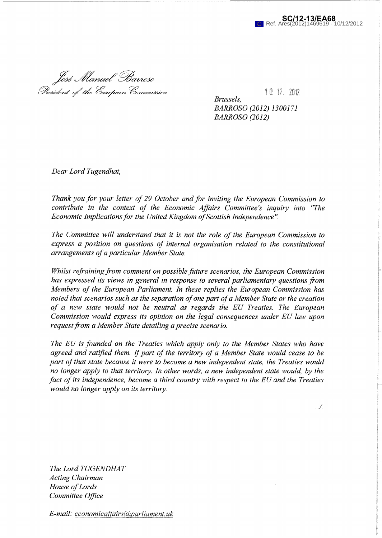

José Manuel Barroso<br>President of the European Commission

1 0 1 2 2 0 1 2 1  $\sqrt{2}$ *Brussels, BARROSO (2012) 1300171* 

*BARROSO (2012)* 

*Dear Lord Tugendhat,* 

*Thank you for your letter of 29 October and for inviting the European Commission to contribute in the context of the Economic Affairs Committee's inquiry into "The Economic Implications for the United Kingdom of Scottish Independence* 

*The Committee will understand that it is not the role of the European Commission to express a position on questions of internal organisation related to the constitutional arrangements of a particular Member State.* 

*Whilst refraining from comment on possible future scenarios, the European Commission has expressed its views in general in response to several parliamentary questions from Members of the European Parliament. In these replies the European Commission has noted that scenarios such as the separation of one part of a Member State or the creation of a new state would not be neutral as regards the EU Treaties. The European Commission would express its opinion on the legal consequences under EU law upon request from a Member State detailing a precise scenario.* 

*The EU is founded on the Treaties which apply only to the Member States who have agreed and ratified them. If part of the territory of a Member State would cease to be part of that state because it were to become a new independent state, the Treaties would no longer apply to that territory. In other words, a new independent state would, by the fact of its independence, become a third country with respect to the EU and the Treaties would no longer apply on its territory.* 

 $\mathcal{A}$ 

*The Lord TUGENDHAT Acting Chairman House of Lords Committee Office* 

*E-mail: economicaffairs(@parliament.uk*